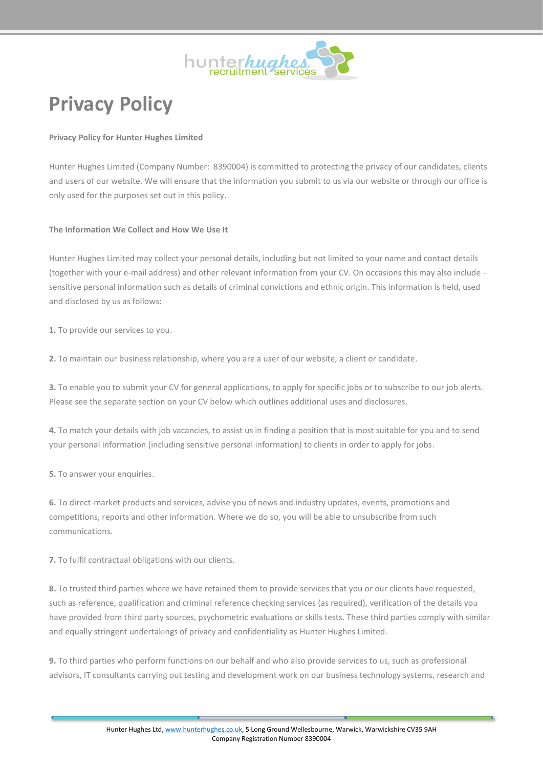

# **Privacy Policy**

# **Privacy Policy for Hunter Hughes Limited**

Hunter Hughes Limited (Company Number: 8390004) is committed to protecting the privacy of our candidates, clients and users of our website. We will ensure that the information you submit to us via our website or through our office is only used for the purposes set out in this policy.

## **The Information We Collect and How We Use It**

Hunter Hughes Limited may collect your personal details, including but not limited to your name and contact details (together with your e-mail address) and other relevant information from your CV. On occasions this may also include sensitive personal information such as details of criminal convictions and ethnic origin. This information is held, used and disclosed by us as follows:

**1.** To provide our services to you.

**2.** To maintain our business relationship, where you are a user of our website, a client or candidate.

**3.** To enable you to submit your CV for general applications, to apply for specific jobs or to subscribe to our job alerts. Please see the separate section on your CV below which outlines additional uses and disclosures.

**4.** To match your details with job vacancies, to assist us in finding a position that is most suitable for you and to send your personal information (including sensitive personal information) to clients in order to apply for jobs.

**5.** To answer your enquiries.

**6.** To direct-market products and services, advise you of news and industry updates, events, promotions and competitions, reports and other information. Where we do so, you will be able to unsubscribe from such communications.

**7.** To fulfil contractual obligations with our clients.

**8.** To trusted third parties where we have retained them to provide services that you or our clients have requested, such as reference, qualification and criminal reference checking services (as required), verification of the details you have provided from third party sources, psychometric evaluations or skills tests. These third parties comply with similar and equally stringent undertakings of privacy and confidentiality as Hunter Hughes Limited.

**9.** To third parties who perform functions on our behalf and who also provide services to us, such as professional advisors, IT consultants carrying out testing and development work on our business technology systems, research and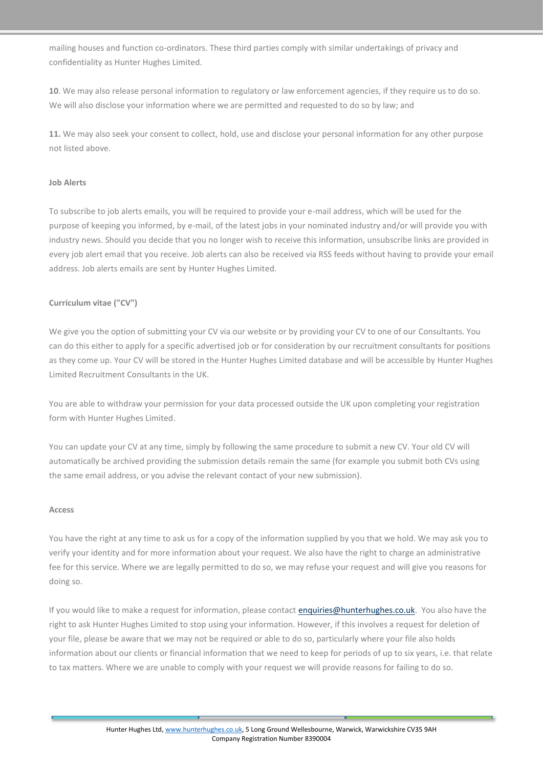mailing houses and function co-ordinators. These third parties comply with similar undertakings of privacy and confidentiality as Hunter Hughes Limited.

**10**. We may also release personal information to regulatory or law enforcement agencies, if they require us to do so. We will also disclose your information where we are permitted and requested to do so by law; and

**11.** We may also seek your consent to collect, hold, use and disclose your personal information for any other purpose not listed above.

## **Job Alerts**

To subscribe to job alerts emails, you will be required to provide your e-mail address, which will be used for the purpose of keeping you informed, by e-mail, of the latest jobs in your nominated industry and/or will provide you with industry news. Should you decide that you no longer wish to receive this information, unsubscribe links are provided in every job alert email that you receive. Job alerts can also be received via RSS feeds without having to provide your email address. Job alerts emails are sent by Hunter Hughes Limited.

## **Curriculum vitae ("CV")**

We give you the option of submitting your CV via our website or by providing your CV to one of our Consultants. You can do this either to apply for a specific advertised job or for consideration by our recruitment consultants for positions as they come up. Your CV will be stored in the Hunter Hughes Limited database and will be accessible by Hunter Hughes Limited Recruitment Consultants in the UK.

You are able to withdraw your permission for your data processed outside the UK upon completing your registration form with Hunter Hughes Limited.

You can update your CV at any time, simply by following the same procedure to submit a new CV. Your old CV will automatically be archived providing the submission details remain the same (for example you submit both CVs using the same email address, or you advise the relevant contact of your new submission).

#### **Access**

You have the right at any time to ask us for a copy of the information supplied by you that we hold. We may ask you to verify your identity and for more information about your request. We also have the right to charge an administrative fee for this service. Where we are legally permitted to do so, we may refuse your request and will give you reasons for doing so.

If you would like to make a request for information, please contact [enquiries@hunterhughes.co.uk.](mailto:enquiries@hunterhughes.co.uk) You also have the right to ask Hunter Hughes Limited to stop using your information. However, if this involves a request for deletion of your file, please be aware that we may not be required or able to do so, particularly where your file also holds information about our clients or financial information that we need to keep for periods of up to six years, i.e. that relate to tax matters. Where we are unable to comply with your request we will provide reasons for failing to do so.